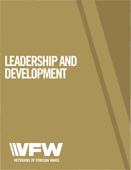## **LEADERSHIP AND DEVELOPMENT**

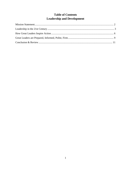## **Table of Contents Leadership and Development**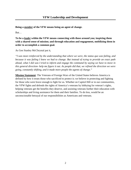**Being a** *member* **of the VFW means being an agent of change.** 

But…

**To be a** *leader* **within the VFW means connecting with those around you; inspiring them with a shared sense of mission; and through education and engagement, mobilizing them in order to accomplish a common goal.**

As Gen Stanley McChrystal put it,

*"I was most reinforced by the understanding that where we were, the status quo was failing, and because it was failing I knew we had to change. But instead of trying to provide an exact path ahead, what I did was I tried to inform and engage the command by saying we have to move in this general direction- help me figure it out. As people did that, we refined the direction we were going, constantly shifting, and it made more people the agents of change."*

**Mission Statement**: The Veterans of Foreign Wars of the United States believes America is defined by how it treats those who sacrificed to protect it; we believe in protecting and fighting for those who were brave enough to fight for us. Whether on Capitol Hill or in our communities, the VFW fights and defends the rights of America's veterans by lobbying for veteran's rights, helping veterans get the benefits they deserve, and assisting veterans further their education with scholarships and living assistance for them and their families. To do less, would be an unconscionable betrayal of our responsibilities as Americans and veterans.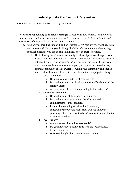## **Leadership in the 21st Century in 3 Questions**

*[Roselinde Torres: "What it takes to be a great leader"]*

- 1. **Where are you looking to anticipate change?** *Proactive leaders practice identifying and sharing trends that impact your team in order to course correct a strategy or to anticipate new moves. Shape your future instead of just reacting to it.*
	- a. Who are you spending time with and on what topics? Where are you traveling? What are you reading? How are you distilling all of this information into understanding potential pitfalls so you can do something right now in order to prepare?
		- i. The following questions aim to identify local focal points of change. If you answer "No" to a question, think about expanding your awareness to identify potential trends. If you answer "Yes" to a question, discuss with your team how current trends in that area may impact you or your mission- this may offer an opportunity to raise awareness within your community and engage your local leaders in a call for action or collaborative campaign for change.
			- 1. Local Government
				- a. Do you pay attention to local government?
				- b. Do you know who your local government officials are and their priority goals?
				- c. Are you aware of current or upcoming ballot initiatives?
			- 2. Educational Institutions
				- a. Do you know all of the schools in your area?
				- b. Do you have relationships with the educators and administrators of those schools?
				- c. If an institution of higher education (community college/university/vocational school), do you know the percentage of veterans in attendance? And/or if said institution is veteran friendly?
			- 3. Local Business
				- a. Are you aware of local business trends?
				- b. Do you know/have a relationship with the local business leaders in your area?
				- c. Have you thought about areas of mutual interest?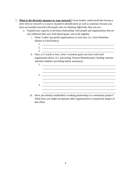- 2. **What is the diversity measure or your network?** *Great leaders understand that having a more diverse network is a source of pattern identification as well as solutions because you have surrounded yourself with people who are thinking differently than you are.*
	- a. Expand your capacity to develop relationships with people and organizations that are very different than you; find shared goals; and work together.
		- i. Name 3 other non-profit organizations in your area. (i.e. local Homeless Shelter or Food Pantry)

| $\mathcal{R}$<br>. |  |
|--------------------|--|
|                    |  |

ii. Now, in 5 words or less, write 3 common goals you have with each organization above. (i.e. preventing Veteran Homelessness/ feeding veterans and their families/ providing family assistance)

| 2. | <u> 1990 - Johann John Harry Harry Harry Harry Harry Harry Harry Harry Harry Harry Harry Harry Harry Harry Harry</u>  |
|----|-----------------------------------------------------------------------------------------------------------------------|
|    |                                                                                                                       |
| 3. | <u> Terminal de la propincia de la propincia de la propincia de la propincia de la propincia de la propincia de l</u> |
|    |                                                                                                                       |

\_\_\_\_\_\_\_\_\_\_\_\_\_\_\_\_\_\_\_\_\_\_\_\_\_\_\_\_\_\_\_\_\_\_\_\_\_\_\_\_\_\_\_\_\_\_\_\_\_\_\_\_\_\_\_\_\_

iii. Have you already established a working partnership in a community project? Think how you might incorporate other organizations to expand the impact of that effort.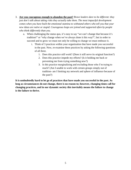- 3. **Are you courageous enough to abandon the past?** *Brave leaders dare to be different: they just don't talk about taking risks they actually take them. The most impactful development comes when you have built the emotional stamina to withstand others who tell you that your new ideas are naïve or stupid. Courageous leaps are joined and supported often by people who think differently than you.* 
	- a. When challenging the status quo, it's easy to say "we can't change that because it's tradition!" or "why change when we've always done it this way?", but in order to succeed and to grow we must not only be willing to change we must embrace it.
		- i. Think of 3 practices within your organization that have made you successful in the past. Now, re-examine these practices by asking the following questions of all three.
			- 1. Does this practice still work? (Does it still serve its original function?)
			- 2. Does this practice impede my efforts? (Is it holding me back or preventing me from trying something new?)
			- 3. Is this practice marginalizing and excluding those who I'm trying to reach? (Am I unable to work with certain groups simply out of tradition- am I limiting my network and sphere of influence because of the past?)

**It is undoubtedly hard to let go of practices that have made you successful in the past. As long as circumstances do not change, there is no reason to; however, changing times call for changing practices, and in our dynamic society this inevitably means the failure to change is the failure to thrive.**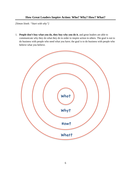## **How Great Leaders Inspire Action: Who? Why? How? What?**

*[Simon Sinek: "Start with why"]* 

1. **People don't buy what you do, they buy why you do it**, and great leaders are able to communicate why they do what they do in order to inspire action in others. The goal is not to do business with people who need what you have; the goal is to do business with people who believe what you believe.

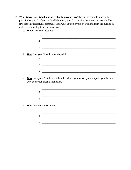- 2. Who, Why, How, What, and why should anyone care? No one is going to want to be a part of what you do if you can't tell them why you do it or give them a reason to care. The first step in successfully communicating what you believe is by working from the outside in and communicating from the inside out.
	- a. What does your Post do?

| 1.                           |                                                                                                                                              |
|------------------------------|----------------------------------------------------------------------------------------------------------------------------------------------|
|                              |                                                                                                                                              |
| 2.                           | <u> 1980 - Jan Sterling, amerikansk politiker (d. 1980)</u>                                                                                  |
|                              |                                                                                                                                              |
| 3.                           | <u> 1989 - Johann Stein, mars an de Frankrik en fan de Frankrik fan de Frankrik en fan de Frankrik fan de Frankri</u>                        |
|                              |                                                                                                                                              |
|                              | b. How does your Post do what they do?                                                                                                       |
|                              |                                                                                                                                              |
|                              |                                                                                                                                              |
| 2.                           |                                                                                                                                              |
|                              |                                                                                                                                              |
| 3.                           |                                                                                                                                              |
| $\mathbf{c}$ .               | Why does your Post do what they do: what's your cause, your purpose, your belief-<br>why does your organization exist?<br>1. $\qquad \qquad$ |
| 2.                           |                                                                                                                                              |
|                              |                                                                                                                                              |
| 3.                           |                                                                                                                                              |
|                              |                                                                                                                                              |
| d. Who does your Post serve? |                                                                                                                                              |
| 1.                           | <u> 1989 - Johann Barbara, martin amerikan basal dan berasal dan berasal dalam basal dalam basal dan berasal dala</u>                        |
|                              |                                                                                                                                              |
| 2.                           | <u> 1989 - Johann Stoff, deutscher Stoff, der Stoff, der Stoff, der Stoff, der Stoff, der Stoff, der Stoff, der S</u>                        |
|                              | and the control of the control of the control of the control of the control of the control of the control of the                             |
| 3.                           |                                                                                                                                              |
|                              |                                                                                                                                              |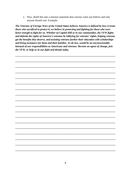e. Now, distill this into a mission statement that conveys what you believe and why anyone should care. Example:

*The Veterans of Foreign Wars of the United States believes America is defined by how it treats those who sacrificed to protect it; we believe in protecting and fighting for those who were brave enough to fight for us. Whether on Capitol Hill or in our communities, the VFW fights and defends the rights of America's veterans by lobbying for veterans' rights, helping veterans get the benefits they deserve, and assisting veterans further their education with scholarships and living assistance for them and their families. To do less, would be an unconscionable betrayal of our responsibilities as Americans and veterans. Become an agent of change, join the VFW, or help us in our fight and donate today.* 

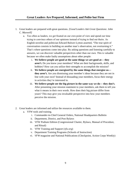- 1. Great leaders are prepared with great questions. *[Good Leaders Ask Great Questions: John C. Maxwell]*
	- a. Too often as leaders, we get fixated on our own point of view and spend our time trying to convince others of our opinions instead of trying to find out theirs. As English novelist and politician Edward Bulwer-Lytton asserted, "The true spirit of conversation consists in building on another man's observation, not overturning it." That's where questions come into play. By asking questions and listening carefully to answers, we can discover valuable perspectives other than our own. This is valuable because we often make faulty assumptions about other people:
		- i. **We believe people are good at the same things we are good at— they aren't.** Do you know your members? What are their backgrounds, skills, and hobbies? How can you utilize their strengths to accomplish the mission?
		- ii. **We believe people are energized by the same things that energize us they aren't.** Are you dismissing your member's ideas because they are not in line with your own? Instead of dissuading your members, focus their energy in activities they're interested in.
		- iii. **We believe people see the big picture in the same way we do— they don't.** After presenting your mission statement to your members, ask them to tell you what it means in their own words. How does their big picture differ from yours? This may give you invaluable perspective into how your members perceive the mission.
- 2. Great leaders are informed and utilize the resources available to them.
	- a. VFW tools and training.
		- i. Commander-in-Chief General Orders, National Headquarters Bulletin
		- ii. Department, District, and Post Bylaws
		- iii. VFW Podium Edition (Congressional Charter, Bylaws, Manual of Procedure, and Ritual)
		- iv. VFW Training and Support (*vfw.org*)
		- v. Department Training Programs (Schools of Instruction)
		- vi. *VFW* magazine and National Publications (Checkpoint, Action Corps Weekly)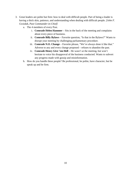- 3. Great leaders are polite but firm: how to deal with difficult people. Part of being a leader is having a thick skin, patience, and understanding when dealing with difficult people. *[John F. Gwizdak, Past Commander-in-Chief]*
	- a. The 4 members of every Post.
		- i. **Comrade Helen Hammer** Sits in the back of the meeting and complains about every piece of business.
		- ii. **Comrade Billy Bylaws** Favorite question, "Is that in the Bylaws?" Wants to disrupt your meeting by challenging parliamentary procedure.
		- iii. **Comrade N.O. Change** Favorite phrase, "We've always done it like that." Adverse to any and every change proposed – refuses to abandon the past.
		- iv. **Comrade Henry Give 'em Hell** He wasn't at the meeting, but won't hesitate to voice his disapproval of the business conducted. Wants to subvert any progress made with gossip and misinformation.
	- b. How do you handle these people? Be professional, be polite, have character, but be speak up and be firm.